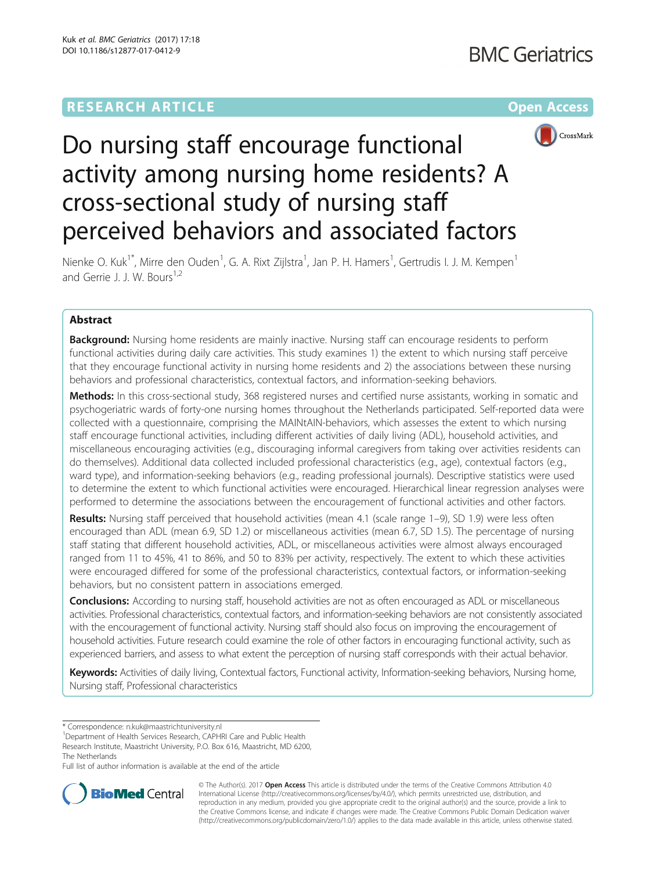



# Do nursing staff encourage functional activity among nursing home residents? A cross-sectional study of nursing staff perceived behaviors and associated factors

Nienke O. Kuk<sup>1\*</sup>, Mirre den Ouden<sup>1</sup>, G. A. Rixt Zijlstra<sup>1</sup>, Jan P. H. Hamers<sup>1</sup>, Gertrudis I. J. M. Kempen<sup>1</sup> and Gerrie J. J. W. Bours $^{1,2}$ 

# Abstract

**Background:** Nursing home residents are mainly inactive. Nursing staff can encourage residents to perform functional activities during daily care activities. This study examines 1) the extent to which nursing staff perceive that they encourage functional activity in nursing home residents and 2) the associations between these nursing behaviors and professional characteristics, contextual factors, and information-seeking behaviors.

Methods: In this cross-sectional study, 368 registered nurses and certified nurse assistants, working in somatic and psychogeriatric wards of forty-one nursing homes throughout the Netherlands participated. Self-reported data were collected with a questionnaire, comprising the MAINtAIN-behaviors, which assesses the extent to which nursing staff encourage functional activities, including different activities of daily living (ADL), household activities, and miscellaneous encouraging activities (e.g., discouraging informal caregivers from taking over activities residents can do themselves). Additional data collected included professional characteristics (e.g., age), contextual factors (e.g., ward type), and information-seeking behaviors (e.g., reading professional journals). Descriptive statistics were used to determine the extent to which functional activities were encouraged. Hierarchical linear regression analyses were performed to determine the associations between the encouragement of functional activities and other factors.

Results: Nursing staff perceived that household activities (mean 4.1 (scale range 1–9), SD 1.9) were less often encouraged than ADL (mean 6.9, SD 1.2) or miscellaneous activities (mean 6.7, SD 1.5). The percentage of nursing staff stating that different household activities, ADL, or miscellaneous activities were almost always encouraged ranged from 11 to 45%, 41 to 86%, and 50 to 83% per activity, respectively. The extent to which these activities were encouraged differed for some of the professional characteristics, contextual factors, or information-seeking behaviors, but no consistent pattern in associations emerged.

Conclusions: According to nursing staff, household activities are not as often encouraged as ADL or miscellaneous activities. Professional characteristics, contextual factors, and information-seeking behaviors are not consistently associated with the encouragement of functional activity. Nursing staff should also focus on improving the encouragement of household activities. Future research could examine the role of other factors in encouraging functional activity, such as experienced barriers, and assess to what extent the perception of nursing staff corresponds with their actual behavior.

Keywords: Activities of daily living, Contextual factors, Functional activity, Information-seeking behaviors, Nursing home, Nursing staff, Professional characteristics

\* Correspondence: [n.kuk@maastrichtuniversity.nl](mailto:n.kuk@maastrichtuniversity.nl) <sup>1</sup>

<sup>1</sup>Department of Health Services Research, CAPHRI Care and Public Health Research Institute, Maastricht University, P.O. Box 616, Maastricht, MD 6200,

The Netherlands

Full list of author information is available at the end of the article



© The Author(s). 2017 **Open Access** This article is distributed under the terms of the Creative Commons Attribution 4.0 International License [\(http://creativecommons.org/licenses/by/4.0/](http://creativecommons.org/licenses/by/4.0/)), which permits unrestricted use, distribution, and reproduction in any medium, provided you give appropriate credit to the original author(s) and the source, provide a link to the Creative Commons license, and indicate if changes were made. The Creative Commons Public Domain Dedication waiver [\(http://creativecommons.org/publicdomain/zero/1.0/](http://creativecommons.org/publicdomain/zero/1.0/)) applies to the data made available in this article, unless otherwise stated.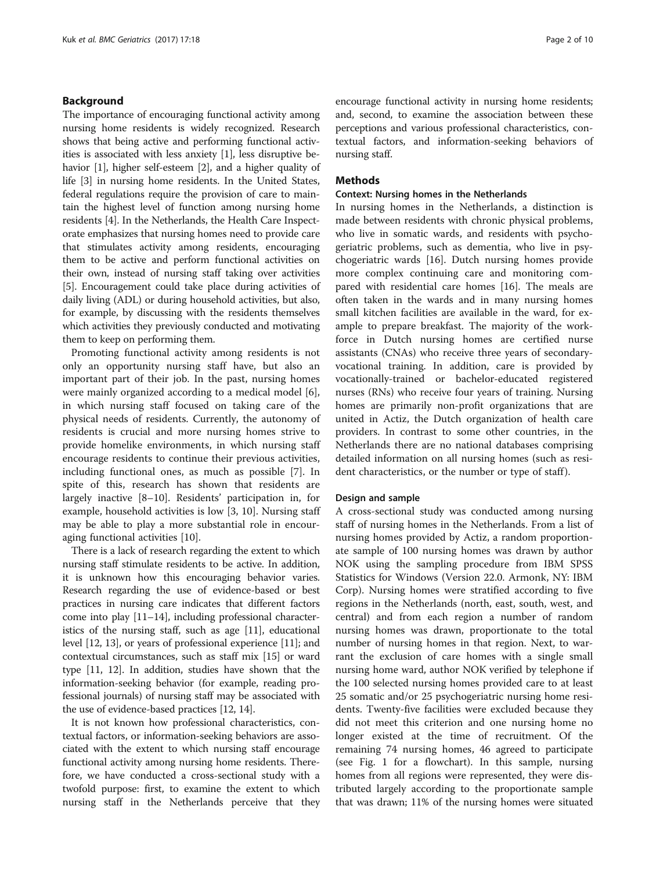## Background

The importance of encouraging functional activity among nursing home residents is widely recognized. Research shows that being active and performing functional activities is associated with less anxiety [[1](#page-9-0)], less disruptive behavior [\[1](#page-9-0)], higher self-esteem [[2](#page-9-0)], and a higher quality of life [\[3\]](#page-9-0) in nursing home residents. In the United States, federal regulations require the provision of care to maintain the highest level of function among nursing home residents [\[4](#page-9-0)]. In the Netherlands, the Health Care Inspectorate emphasizes that nursing homes need to provide care that stimulates activity among residents, encouraging them to be active and perform functional activities on their own, instead of nursing staff taking over activities [[5\]](#page-9-0). Encouragement could take place during activities of daily living (ADL) or during household activities, but also, for example, by discussing with the residents themselves which activities they previously conducted and motivating them to keep on performing them.

Promoting functional activity among residents is not only an opportunity nursing staff have, but also an important part of their job. In the past, nursing homes were mainly organized according to a medical model [\[6](#page-9-0)], in which nursing staff focused on taking care of the physical needs of residents. Currently, the autonomy of residents is crucial and more nursing homes strive to provide homelike environments, in which nursing staff encourage residents to continue their previous activities, including functional ones, as much as possible [[7\]](#page-9-0). In spite of this, research has shown that residents are largely inactive [[8](#page-9-0)–[10](#page-9-0)]. Residents' participation in, for example, household activities is low [\[3](#page-9-0), [10](#page-9-0)]. Nursing staff may be able to play a more substantial role in encouraging functional activities [\[10](#page-9-0)].

There is a lack of research regarding the extent to which nursing staff stimulate residents to be active. In addition, it is unknown how this encouraging behavior varies. Research regarding the use of evidence-based or best practices in nursing care indicates that different factors come into play [\[11](#page-9-0)–[14](#page-9-0)], including professional characteristics of the nursing staff, such as age [\[11\]](#page-9-0), educational level [[12](#page-9-0), [13](#page-9-0)], or years of professional experience [\[11\]](#page-9-0); and contextual circumstances, such as staff mix [[15](#page-9-0)] or ward type [\[11](#page-9-0), [12\]](#page-9-0). In addition, studies have shown that the information-seeking behavior (for example, reading professional journals) of nursing staff may be associated with the use of evidence-based practices [[12](#page-9-0), [14](#page-9-0)].

It is not known how professional characteristics, contextual factors, or information-seeking behaviors are associated with the extent to which nursing staff encourage functional activity among nursing home residents. Therefore, we have conducted a cross-sectional study with a twofold purpose: first, to examine the extent to which nursing staff in the Netherlands perceive that they encourage functional activity in nursing home residents; and, second, to examine the association between these perceptions and various professional characteristics, contextual factors, and information-seeking behaviors of nursing staff.

## Methods

## Context: Nursing homes in the Netherlands

In nursing homes in the Netherlands, a distinction is made between residents with chronic physical problems, who live in somatic wards, and residents with psychogeriatric problems, such as dementia, who live in psychogeriatric wards [\[16\]](#page-9-0). Dutch nursing homes provide more complex continuing care and monitoring compared with residential care homes [[16](#page-9-0)]. The meals are often taken in the wards and in many nursing homes small kitchen facilities are available in the ward, for example to prepare breakfast. The majority of the workforce in Dutch nursing homes are certified nurse assistants (CNAs) who receive three years of secondaryvocational training. In addition, care is provided by vocationally-trained or bachelor-educated registered nurses (RNs) who receive four years of training. Nursing homes are primarily non-profit organizations that are united in Actiz, the Dutch organization of health care providers. In contrast to some other countries, in the Netherlands there are no national databases comprising detailed information on all nursing homes (such as resident characteristics, or the number or type of staff).

#### Design and sample

A cross-sectional study was conducted among nursing staff of nursing homes in the Netherlands. From a list of nursing homes provided by Actiz, a random proportionate sample of 100 nursing homes was drawn by author NOK using the sampling procedure from IBM SPSS Statistics for Windows (Version 22.0. Armonk, NY: IBM Corp). Nursing homes were stratified according to five regions in the Netherlands (north, east, south, west, and central) and from each region a number of random nursing homes was drawn, proportionate to the total number of nursing homes in that region. Next, to warrant the exclusion of care homes with a single small nursing home ward, author NOK verified by telephone if the 100 selected nursing homes provided care to at least 25 somatic and/or 25 psychogeriatric nursing home residents. Twenty-five facilities were excluded because they did not meet this criterion and one nursing home no longer existed at the time of recruitment. Of the remaining 74 nursing homes, 46 agreed to participate (see Fig. [1](#page-2-0) for a flowchart). In this sample, nursing homes from all regions were represented, they were distributed largely according to the proportionate sample that was drawn; 11% of the nursing homes were situated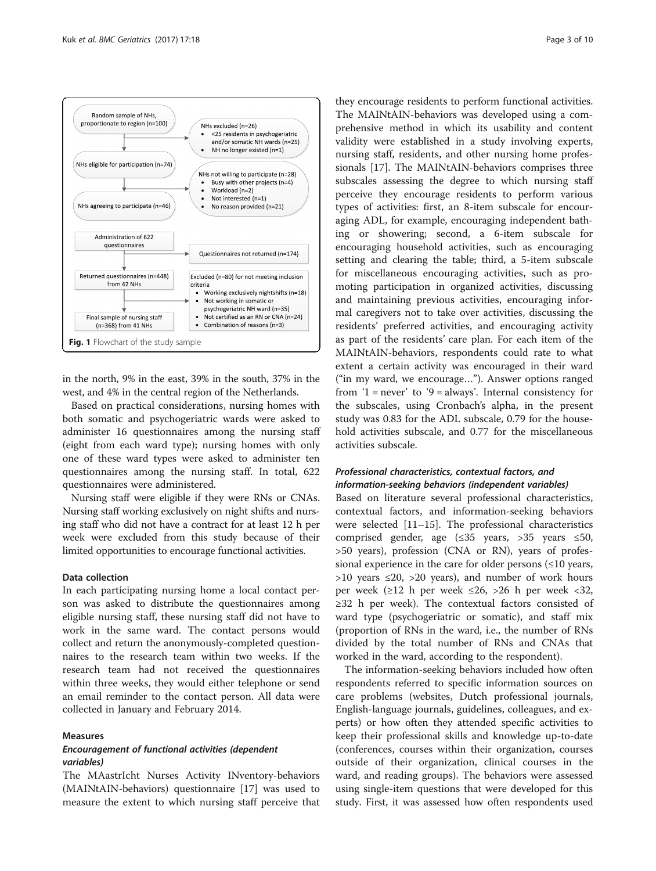<span id="page-2-0"></span>

in the north, 9% in the east, 39% in the south, 37% in the west, and 4% in the central region of the Netherlands.

Based on practical considerations, nursing homes with both somatic and psychogeriatric wards were asked to administer 16 questionnaires among the nursing staff (eight from each ward type); nursing homes with only one of these ward types were asked to administer ten questionnaires among the nursing staff. In total, 622 questionnaires were administered.

Nursing staff were eligible if they were RNs or CNAs. Nursing staff working exclusively on night shifts and nursing staff who did not have a contract for at least 12 h per week were excluded from this study because of their limited opportunities to encourage functional activities.

#### Data collection

In each participating nursing home a local contact person was asked to distribute the questionnaires among eligible nursing staff, these nursing staff did not have to work in the same ward. The contact persons would collect and return the anonymously-completed questionnaires to the research team within two weeks. If the research team had not received the questionnaires within three weeks, they would either telephone or send an email reminder to the contact person. All data were collected in January and February 2014.

## Measures

## Encouragement of functional activities (dependent variables)

The MAastrIcht Nurses Activity INventory-behaviors (MAINtAIN-behaviors) questionnaire [\[17](#page-9-0)] was used to measure the extent to which nursing staff perceive that

they encourage residents to perform functional activities. The MAINtAIN-behaviors was developed using a comprehensive method in which its usability and content validity were established in a study involving experts, nursing staff, residents, and other nursing home professionals [\[17](#page-9-0)]. The MAINtAIN-behaviors comprises three subscales assessing the degree to which nursing staff perceive they encourage residents to perform various types of activities: first, an 8-item subscale for encouraging ADL, for example, encouraging independent bathing or showering; second, a 6-item subscale for encouraging household activities, such as encouraging setting and clearing the table; third, a 5-item subscale for miscellaneous encouraging activities, such as promoting participation in organized activities, discussing and maintaining previous activities, encouraging informal caregivers not to take over activities, discussing the residents' preferred activities, and encouraging activity as part of the residents' care plan. For each item of the MAINtAIN-behaviors, respondents could rate to what extent a certain activity was encouraged in their ward ("in my ward, we encourage…"). Answer options ranged from  $1 = never'$  to  $9 = always'$ . Internal consistency for the subscales, using Cronbach's alpha, in the present study was 0.83 for the ADL subscale, 0.79 for the household activities subscale, and 0.77 for the miscellaneous activities subscale.

## Professional characteristics, contextual factors, and information-seeking behaviors (independent variables)

Based on literature several professional characteristics, contextual factors, and information-seeking behaviors were selected [[11](#page-9-0)–[15](#page-9-0)]. The professional characteristics comprised gender, age (≤35 years, >35 years ≤50, >50 years), profession (CNA or RN), years of professional experience in the care for older persons (≤10 years,  $>10$  years  $\leq 20$ ,  $>20$  years), and number of work hours per week (≥12 h per week ≤26, >26 h per week <32, ≥32 h per week). The contextual factors consisted of ward type (psychogeriatric or somatic), and staff mix (proportion of RNs in the ward, i.e., the number of RNs divided by the total number of RNs and CNAs that worked in the ward, according to the respondent).

The information-seeking behaviors included how often respondents referred to specific information sources on care problems (websites, Dutch professional journals, English-language journals, guidelines, colleagues, and experts) or how often they attended specific activities to keep their professional skills and knowledge up-to-date (conferences, courses within their organization, courses outside of their organization, clinical courses in the ward, and reading groups). The behaviors were assessed using single-item questions that were developed for this study. First, it was assessed how often respondents used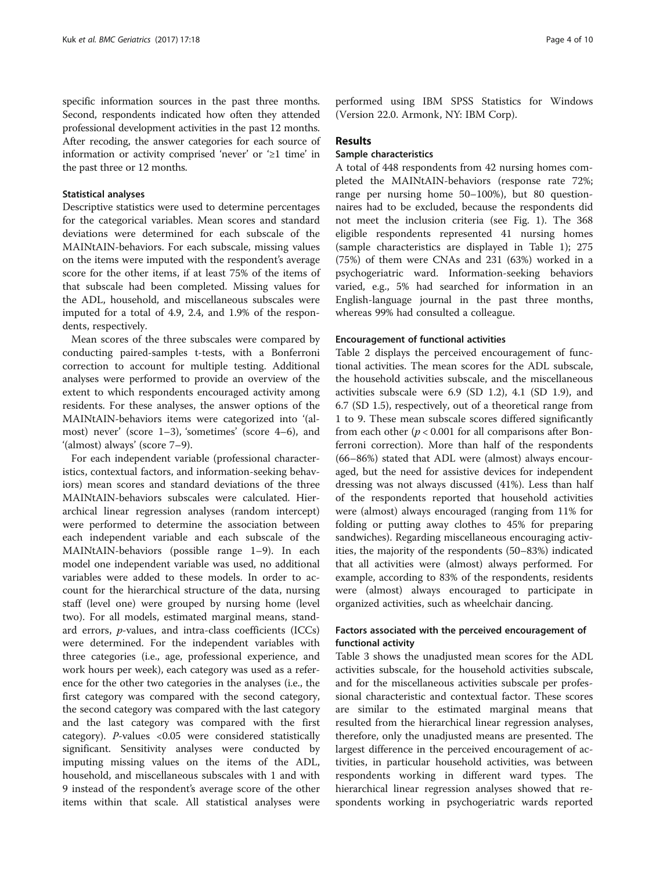specific information sources in the past three months. Second, respondents indicated how often they attended professional development activities in the past 12 months. After recoding, the answer categories for each source of information or activity comprised 'never' or '≥1 time' in the past three or 12 months.

## Statistical analyses

Descriptive statistics were used to determine percentages for the categorical variables. Mean scores and standard deviations were determined for each subscale of the MAINtAIN-behaviors. For each subscale, missing values on the items were imputed with the respondent's average score for the other items, if at least 75% of the items of that subscale had been completed. Missing values for the ADL, household, and miscellaneous subscales were imputed for a total of 4.9, 2.4, and 1.9% of the respondents, respectively.

Mean scores of the three subscales were compared by conducting paired-samples t-tests, with a Bonferroni correction to account for multiple testing. Additional analyses were performed to provide an overview of the extent to which respondents encouraged activity among residents. For these analyses, the answer options of the MAINtAIN-behaviors items were categorized into '(almost) never' (score 1–3), 'sometimes' (score 4–6), and '(almost) always' (score 7–9).

For each independent variable (professional characteristics, contextual factors, and information-seeking behaviors) mean scores and standard deviations of the three MAINtAIN-behaviors subscales were calculated. Hierarchical linear regression analyses (random intercept) were performed to determine the association between each independent variable and each subscale of the MAINtAIN-behaviors (possible range 1–9). In each model one independent variable was used, no additional variables were added to these models. In order to account for the hierarchical structure of the data, nursing staff (level one) were grouped by nursing home (level two). For all models, estimated marginal means, standard errors, p-values, and intra-class coefficients (ICCs) were determined. For the independent variables with three categories (i.e., age, professional experience, and work hours per week), each category was used as a reference for the other two categories in the analyses (i.e., the first category was compared with the second category, the second category was compared with the last category and the last category was compared with the first category). P-values <0.05 were considered statistically significant. Sensitivity analyses were conducted by imputing missing values on the items of the ADL, household, and miscellaneous subscales with 1 and with 9 instead of the respondent's average score of the other items within that scale. All statistical analyses were

performed using IBM SPSS Statistics for Windows (Version 22.0. Armonk, NY: IBM Corp).

## Results

## Sample characteristics

A total of 448 respondents from 42 nursing homes completed the MAINtAIN-behaviors (response rate 72%; range per nursing home 50–100%), but 80 questionnaires had to be excluded, because the respondents did not meet the inclusion criteria (see Fig. [1](#page-2-0)). The 368 eligible respondents represented 41 nursing homes (sample characteristics are displayed in Table [1\)](#page-4-0); 275 (75%) of them were CNAs and 231 (63%) worked in a psychogeriatric ward. Information-seeking behaviors varied, e.g., 5% had searched for information in an English-language journal in the past three months, whereas 99% had consulted a colleague.

## Encouragement of functional activities

Table [2](#page-5-0) displays the perceived encouragement of functional activities. The mean scores for the ADL subscale, the household activities subscale, and the miscellaneous activities subscale were 6.9 (SD 1.2), 4.1 (SD 1.9), and 6.7 (SD 1.5), respectively, out of a theoretical range from 1 to 9. These mean subscale scores differed significantly from each other ( $p < 0.001$  for all comparisons after Bonferroni correction). More than half of the respondents (66–86%) stated that ADL were (almost) always encouraged, but the need for assistive devices for independent dressing was not always discussed (41%). Less than half of the respondents reported that household activities were (almost) always encouraged (ranging from 11% for folding or putting away clothes to 45% for preparing sandwiches). Regarding miscellaneous encouraging activities, the majority of the respondents (50–83%) indicated that all activities were (almost) always performed. For example, according to 83% of the respondents, residents were (almost) always encouraged to participate in organized activities, such as wheelchair dancing.

## Factors associated with the perceived encouragement of functional activity

Table [3](#page-6-0) shows the unadjusted mean scores for the ADL activities subscale, for the household activities subscale, and for the miscellaneous activities subscale per professional characteristic and contextual factor. These scores are similar to the estimated marginal means that resulted from the hierarchical linear regression analyses, therefore, only the unadjusted means are presented. The largest difference in the perceived encouragement of activities, in particular household activities, was between respondents working in different ward types. The hierarchical linear regression analyses showed that respondents working in psychogeriatric wards reported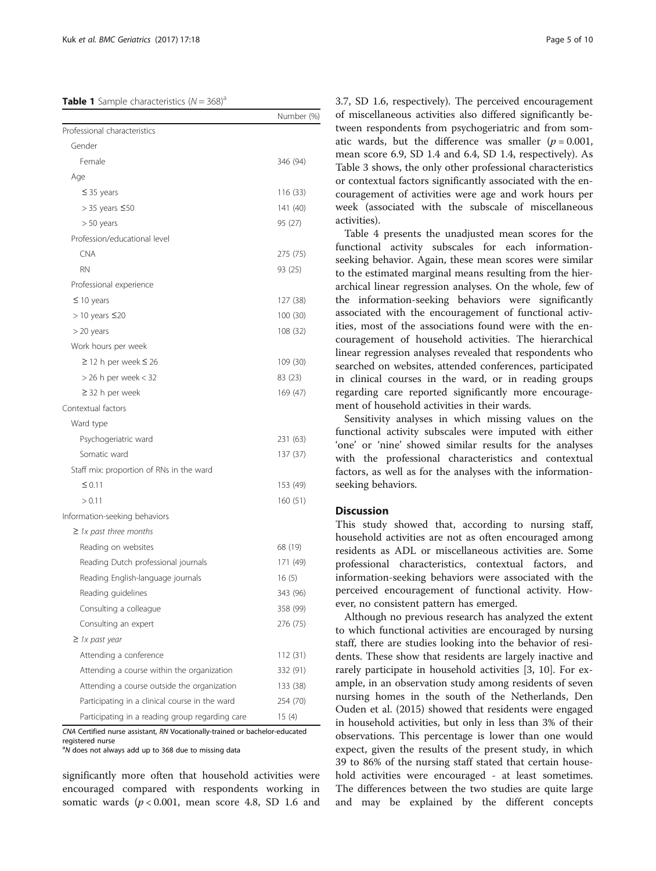#### <span id="page-4-0"></span>**Table 1** Sample characteristics  $(N = 368)^{a}$

|                                                 | Number (%) |
|-------------------------------------------------|------------|
| Professional characteristics                    |            |
| Gender                                          |            |
| Female                                          | 346 (94)   |
| Age                                             |            |
| $\leq$ 35 years                                 | 116 (33)   |
| > 35 years ≤50                                  | 141 (40)   |
| $> 50$ years                                    | 95 (27)    |
| Profession/educational level                    |            |
| <b>CNA</b>                                      | 275 (75)   |
| <b>RN</b>                                       | 93 (25)    |
| Professional experience                         |            |
| $\leq$ 10 years                                 | 127 (38)   |
| > 10 years $≤$ 20                               | 100 (30)   |
| $>$ 20 years                                    | 108 (32)   |
| Work hours per week                             |            |
| $≥$ 12 h per week ≤ 26                          | 109 (30)   |
| $>$ 26 h per week $<$ 32                        | 83 (23)    |
| $\geq$ 32 h per week                            | 169 (47)   |
| Contextual factors                              |            |
| Ward type                                       |            |
| Psychogeriatric ward                            | 231 (63)   |
| Somatic ward                                    | 137 (37)   |
| Staff mix: proportion of RNs in the ward        |            |
| $\leq 0.11$                                     | 153 (49)   |
| > 0.11                                          | 160(51)    |
| Information-seeking behaviors                   |            |
| $\geq$ 1x past three months                     |            |
| Reading on websites                             | 68 (19)    |
| Reading Dutch professional journals             | 171 (49)   |
| Reading English-language journals               | 16(5)      |
| Reading guidelines                              | 343 (96)   |
| Consulting a colleague                          | 358 (99)   |
| Consulting an expert                            | 276 (75)   |
| $\geq$ 1x past year                             |            |
| Attending a conference                          | 112 (31)   |
| Attending a course within the organization      | 332 (91)   |
| Attending a course outside the organization     | 133 (38)   |
| Participating in a clinical course in the ward  | 254 (70)   |
| Participating in a reading group regarding care | 15 (4)     |

CNA Certified nurse assistant, RN Vocationally-trained or bachelor-educated registered nurse

 ${}^{a}N$  does not always add up to 368 due to missing data

significantly more often that household activities were encouraged compared with respondents working in somatic wards  $(p < 0.001$ , mean score 4.8, SD 1.6 and 3.7, SD 1.6, respectively). The perceived encouragement of miscellaneous activities also differed significantly between respondents from psychogeriatric and from somatic wards, but the difference was smaller  $(p = 0.001,$ mean score 6.9, SD 1.4 and 6.4, SD 1.4, respectively). As Table [3](#page-6-0) shows, the only other professional characteristics or contextual factors significantly associated with the encouragement of activities were age and work hours per week (associated with the subscale of miscellaneous activities).

Table [4](#page-7-0) presents the unadjusted mean scores for the functional activity subscales for each informationseeking behavior. Again, these mean scores were similar to the estimated marginal means resulting from the hierarchical linear regression analyses. On the whole, few of the information-seeking behaviors were significantly associated with the encouragement of functional activities, most of the associations found were with the encouragement of household activities. The hierarchical linear regression analyses revealed that respondents who searched on websites, attended conferences, participated in clinical courses in the ward, or in reading groups regarding care reported significantly more encouragement of household activities in their wards.

Sensitivity analyses in which missing values on the functional activity subscales were imputed with either 'one' or 'nine' showed similar results for the analyses with the professional characteristics and contextual factors, as well as for the analyses with the informationseeking behaviors.

## **Discussion**

This study showed that, according to nursing staff, household activities are not as often encouraged among residents as ADL or miscellaneous activities are. Some professional characteristics, contextual factors, and information-seeking behaviors were associated with the perceived encouragement of functional activity. However, no consistent pattern has emerged.

Although no previous research has analyzed the extent to which functional activities are encouraged by nursing staff, there are studies looking into the behavior of residents. These show that residents are largely inactive and rarely participate in household activities [\[3](#page-9-0), [10](#page-9-0)]. For example, in an observation study among residents of seven nursing homes in the south of the Netherlands, Den Ouden et al. (2015) showed that residents were engaged in household activities, but only in less than 3% of their observations. This percentage is lower than one would expect, given the results of the present study, in which 39 to 86% of the nursing staff stated that certain household activities were encouraged - at least sometimes. The differences between the two studies are quite large and may be explained by the different concepts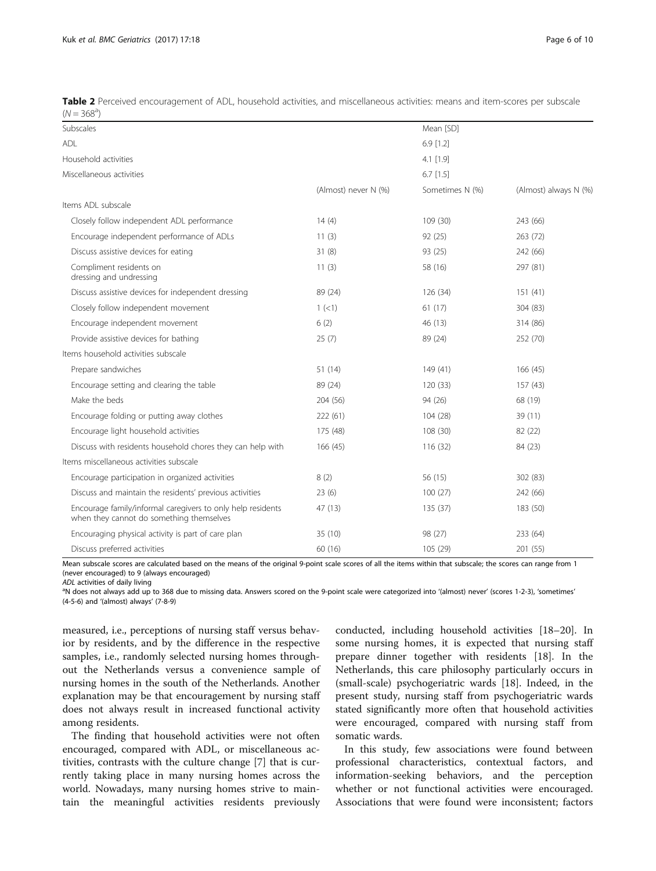<span id="page-5-0"></span>Table 2 Perceived encouragement of ADL, household activities, and miscellaneous activities: means and item-scores per subscale  $(N = 368^{\circ})$ 

| $V = J U U /$                                                                                           |                      |                 |                       |
|---------------------------------------------------------------------------------------------------------|----------------------|-----------------|-----------------------|
| Subscales                                                                                               |                      | Mean [SD]       |                       |
| ADL                                                                                                     |                      | $6.9$ [1.2]     |                       |
| Household activities                                                                                    |                      | 4.1 [1.9]       |                       |
| Miscellaneous activities                                                                                |                      | $6.7$ [1.5]     |                       |
|                                                                                                         | (Almost) never N (%) | Sometimes N (%) | (Almost) always N (%) |
| Items ADL subscale                                                                                      |                      |                 |                       |
| Closely follow independent ADL performance                                                              | 14(4)                | 109 (30)        | 243 (66)              |
| Encourage independent performance of ADLs                                                               | 11(3)                | 92(25)          | 263 (72)              |
| Discuss assistive devices for eating                                                                    | 31(8)                | 93 (25)         | 242 (66)              |
| Compliment residents on<br>dressing and undressing                                                      | 11(3)                | 58 (16)         | 297 (81)              |
| Discuss assistive devices for independent dressing                                                      | 89 (24)              | 126 (34)        | 151(41)               |
| Closely follow independent movement                                                                     | 1 (< 1)              | 61(17)          | 304 (83)              |
| Encourage independent movement                                                                          | 6(2)                 | 46 (13)         | 314 (86)              |
| Provide assistive devices for bathing                                                                   | 25(7)                | 89 (24)         | 252 (70)              |
| Items household activities subscale                                                                     |                      |                 |                       |
| Prepare sandwiches                                                                                      | 51 (14)              | 149(41)         | 166 (45)              |
| Encourage setting and clearing the table                                                                | 89 (24)              | 120(33)         | 157 (43)              |
| Make the beds                                                                                           | 204 (56)             | 94 (26)         | 68 (19)               |
| Encourage folding or putting away clothes                                                               | 222(61)              | 104(28)         | 39 (11)               |
| Encourage light household activities                                                                    | 175 (48)             | 108 (30)        | 82 (22)               |
| Discuss with residents household chores they can help with                                              | 166 (45)             | 116(32)         | 84 (23)               |
| Items miscellaneous activities subscale                                                                 |                      |                 |                       |
| Encourage participation in organized activities                                                         | 8(2)                 | 56 (15)         | 302 (83)              |
| Discuss and maintain the residents' previous activities                                                 | 23(6)                | 100(27)         | 242 (66)              |
| Encourage family/informal caregivers to only help residents<br>when they cannot do something themselves | 47 (13)              | 135 (37)        | 183 (50)              |
| Encouraging physical activity is part of care plan                                                      | 35 (10)              | 98 (27)         | 233 (64)              |
| Discuss preferred activities                                                                            | 60 (16)              | 105 (29)        | 201 (55)              |

Mean subscale scores are calculated based on the means of the original 9-point scale scores of all the items within that subscale; the scores can range from 1 (never encouraged) to 9 (always encouraged)

ADL activities of daily living

<sup>a</sup>N does not always add up to 368 due to missing data. Answers scored on the 9-point scale were categorized into '(almost) never' (scores 1-2-3), 'sometimes' (4-5-6) and '(almost) always' (7-8-9)

measured, i.e., perceptions of nursing staff versus behavior by residents, and by the difference in the respective samples, i.e., randomly selected nursing homes throughout the Netherlands versus a convenience sample of nursing homes in the south of the Netherlands. Another explanation may be that encouragement by nursing staff does not always result in increased functional activity among residents.

The finding that household activities were not often encouraged, compared with ADL, or miscellaneous activities, contrasts with the culture change [[7\]](#page-9-0) that is currently taking place in many nursing homes across the world. Nowadays, many nursing homes strive to maintain the meaningful activities residents previously

conducted, including household activities [[18](#page-9-0)–[20](#page-9-0)]. In some nursing homes, it is expected that nursing staff prepare dinner together with residents [\[18\]](#page-9-0). In the Netherlands, this care philosophy particularly occurs in (small-scale) psychogeriatric wards [[18](#page-9-0)]. Indeed, in the present study, nursing staff from psychogeriatric wards stated significantly more often that household activities were encouraged, compared with nursing staff from somatic wards.

In this study, few associations were found between professional characteristics, contextual factors, and information-seeking behaviors, and the perception whether or not functional activities were encouraged. Associations that were found were inconsistent; factors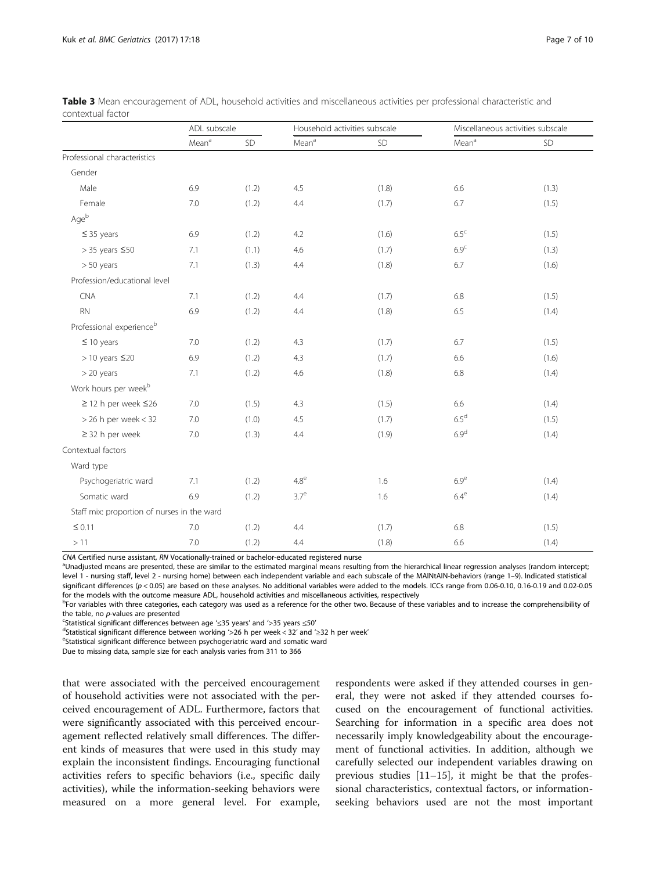|                                             |       |                   |       |                               | Miscellaneous activities subscale |
|---------------------------------------------|-------|-------------------|-------|-------------------------------|-----------------------------------|
| Mean <sup>a</sup>                           | SD    | Mean <sup>a</sup> | SD    | Mean <sup>a</sup>             | SD                                |
|                                             |       |                   |       |                               |                                   |
|                                             |       |                   |       |                               |                                   |
| 6.9                                         | (1.2) | 4.5               | (1.8) | 6.6                           | (1.3)                             |
| 7.0                                         | (1.2) | 4.4               | (1.7) | 6.7                           | (1.5)                             |
|                                             |       |                   |       |                               |                                   |
| 6.9                                         | (1.2) | 4.2               | (1.6) | $6.5^{\circ}$                 | (1.5)                             |
| 7.1                                         | (1.1) | 4.6               | (1.7) | 6.9 <sup>c</sup>              | (1.3)                             |
| 7.1                                         | (1.3) | 4.4               | (1.8) | 6.7                           | (1.6)                             |
|                                             |       |                   |       |                               |                                   |
| 7.1                                         | (1.2) | 4.4               | (1.7) | 6.8                           | (1.5)                             |
| 6.9                                         | (1.2) | 4.4               | (1.8) | 6.5                           | (1.4)                             |
|                                             |       |                   |       |                               |                                   |
| 7.0                                         | (1.2) | 4.3               | (1.7) | 6.7                           | (1.5)                             |
| 6.9                                         | (1.2) | 4.3               | (1.7) | 6.6                           | (1.6)                             |
| 7.1                                         | (1.2) | 4.6               | (1.8) | 6.8                           | (1.4)                             |
|                                             |       |                   |       |                               |                                   |
| 7.0                                         | (1.5) | 4.3               | (1.5) | 6.6                           | (1.4)                             |
| 7.0                                         | (1.0) | 4.5               | (1.7) | $6.5^d$                       | (1.5)                             |
| 7.0                                         | (1.3) | 4.4               | (1.9) | 6.9 <sup>d</sup>              | (1.4)                             |
|                                             |       |                   |       |                               |                                   |
|                                             |       |                   |       |                               |                                   |
| 7.1                                         | (1.2) | $4.8^e$           | 1.6   | $6.9^e$                       | (1.4)                             |
| 6.9                                         | (1.2) | 3.7 <sup>e</sup>  | 1.6   | $6.4^e$                       | (1.4)                             |
| Staff mix: proportion of nurses in the ward |       |                   |       |                               |                                   |
|                                             |       | ADL subscale      |       | Household activities subscale |                                   |

<span id="page-6-0"></span>

| Table 3 Mean encouragement of ADL, household activities and miscellaneous activities per professional characteristic and |  |  |  |  |
|--------------------------------------------------------------------------------------------------------------------------|--|--|--|--|
| contextual factor                                                                                                        |  |  |  |  |

CNA Certified nurse assistant, RN Vocationally-trained or bachelor-educated registered nurse

<sup>a</sup>Unadjusted means are presented, these are similar to the estimated marginal means resulting from the hierarchical linear regression analyses (random intercept; level 1 - nursing staff, level 2 - nursing home) between each independent variable and each subscale of the MAINtAIN-behaviors (range 1–9). Indicated statistical significant differences (p < 0.05) are based on these analyses. No additional variables were added to the models. ICCs range from 0.06-0.10, 0.16-0.19 and 0.02-0.05 for the models with the outcome measure ADL, household activities and miscellaneous activities, respectively

 $≤ 0.11$  7.0 (1.2) 4.4 (1.7) 6.8 (1.5)  $>11$  7.0 (1.2) 4.4 (1.8) 6.6 (1.4)

b<br>Por variables with three categories, each category was used as a reference for the other two. Because of these variables and to increase the comprehensibility of the table, no  $p$ -values are presented

Statistical significant differences between age '≤35 years' and '>35 years <sup>≤</sup>50' <sup>d</sup>

<sup>d</sup>Statistical significant difference between working '>26 h per week < 32' and '≥32 h per week'

Statistical significant difference between psychogeriatric ward and somatic ward

Due to missing data, sample size for each analysis varies from 311 to 366

that were associated with the perceived encouragement of household activities were not associated with the perceived encouragement of ADL. Furthermore, factors that were significantly associated with this perceived encouragement reflected relatively small differences. The different kinds of measures that were used in this study may explain the inconsistent findings. Encouraging functional activities refers to specific behaviors (i.e., specific daily activities), while the information-seeking behaviors were measured on a more general level. For example, respondents were asked if they attended courses in general, they were not asked if they attended courses focused on the encouragement of functional activities. Searching for information in a specific area does not necessarily imply knowledgeability about the encouragement of functional activities. In addition, although we carefully selected our independent variables drawing on previous studies [[11](#page-9-0)–[15](#page-9-0)], it might be that the professional characteristics, contextual factors, or informationseeking behaviors used are not the most important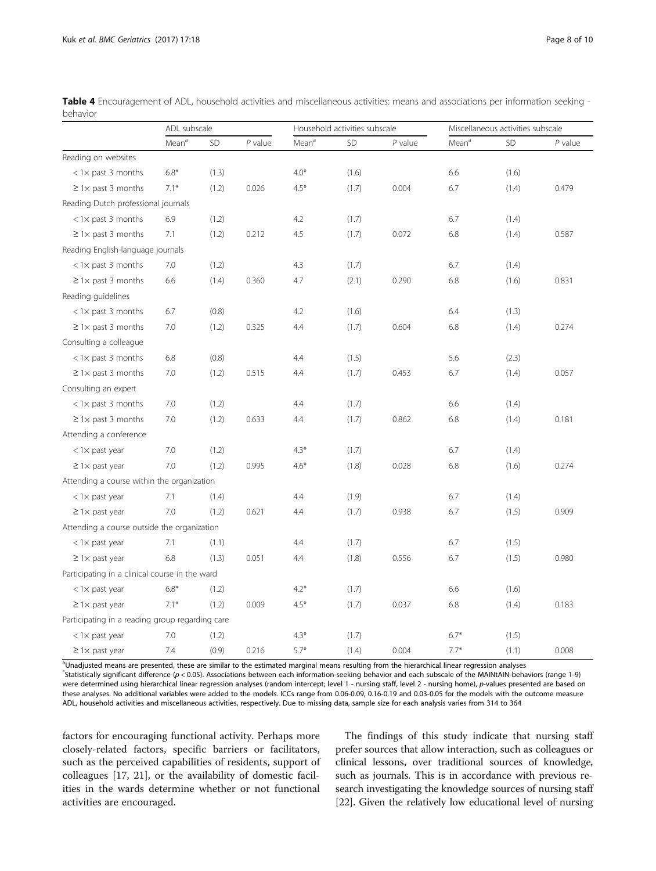|                                                 | ADL subscale      |       |           | Household activities subscale |       |           | Miscellaneous activities subscale |       |           |
|-------------------------------------------------|-------------------|-------|-----------|-------------------------------|-------|-----------|-----------------------------------|-------|-----------|
|                                                 | Mean <sup>a</sup> | SD    | $P$ value | Mean <sup>a</sup>             | SD    | $P$ value | Mean <sup>a</sup>                 | SD    | $P$ value |
| Reading on websites                             |                   |       |           |                               |       |           |                                   |       |           |
| $<$ 1 $\times$ past 3 months                    | $6.8*$            | (1.3) |           | $4.0*$                        | (1.6) |           | 6.6                               | (1.6) |           |
| $\geq$ 1 $\times$ past 3 months                 | $7.1*$            | (1.2) | 0.026     | $4.5*$                        | (1.7) | 0.004     | 6.7                               | (1.4) | 0.479     |
| Reading Dutch professional journals             |                   |       |           |                               |       |           |                                   |       |           |
| $<$ 1 $\times$ past 3 months                    | 6.9               | (1.2) |           | 4.2                           | (1.7) |           | 6.7                               | (1.4) |           |
| $\geq$ 1 $\times$ past 3 months                 | 7.1               | (1.2) | 0.212     | 4.5                           | (1.7) | 0.072     | 6.8                               | (1.4) | 0.587     |
| Reading English-language journals               |                   |       |           |                               |       |           |                                   |       |           |
| $<$ 1 $\times$ past 3 months                    | 7.0               | (1.2) |           | 4.3                           | (1.7) |           | 6.7                               | (1.4) |           |
| $\geq$ 1 $\times$ past 3 months                 | 6.6               | (1.4) | 0.360     | 4.7                           | (2.1) | 0.290     | 6.8                               | (1.6) | 0.831     |
| Reading guidelines                              |                   |       |           |                               |       |           |                                   |       |           |
| $<$ 1 $\times$ past 3 months                    | 6.7               | (0.8) |           | 4.2                           | (1.6) |           | 6.4                               | (1.3) |           |
| $\geq$ 1 $\times$ past 3 months                 | 7.0               | (1.2) | 0.325     | 4.4                           | (1.7) | 0.604     | 6.8                               | (1.4) | 0.274     |
| Consulting a colleague                          |                   |       |           |                               |       |           |                                   |       |           |
| $<$ 1 $\times$ past 3 months                    | 6.8               | (0.8) |           | 4.4                           | (1.5) |           | 5.6                               | (2.3) |           |
| $\geq$ 1 $\times$ past 3 months                 | 7.0               | (1.2) | 0.515     | 4.4                           | (1.7) | 0.453     | 6.7                               | (1.4) | 0.057     |
| Consulting an expert                            |                   |       |           |                               |       |           |                                   |       |           |
| $<$ 1 $\times$ past 3 months                    | 7.0               | (1.2) |           | 4.4                           | (1.7) |           | 6.6                               | (1.4) |           |
| $\geq$ 1 $\times$ past 3 months                 | 7.0               | (1.2) | 0.633     | 4.4                           | (1.7) | 0.862     | 6.8                               | (1.4) | 0.181     |
| Attending a conference                          |                   |       |           |                               |       |           |                                   |       |           |
| $<$ 1 $\times$ past year                        | 7.0               | (1.2) |           | $4.3*$                        | (1.7) |           | 6.7                               | (1.4) |           |
| $\geq$ 1 $\times$ past year                     | 7.0               | (1.2) | 0.995     | $4.6*$                        | (1.8) | 0.028     | 6.8                               | (1.6) | 0.274     |
| Attending a course within the organization      |                   |       |           |                               |       |           |                                   |       |           |
| $<$ 1 $\times$ past year                        | 7.1               | (1.4) |           | 4.4                           | (1.9) |           | 6.7                               | (1.4) |           |
| $\geq$ 1 $\times$ past year                     | 7.0               | (1.2) | 0.621     | 4.4                           | (1.7) | 0.938     | 6.7                               | (1.5) | 0.909     |
| Attending a course outside the organization     |                   |       |           |                               |       |           |                                   |       |           |
| $<$ 1 $\times$ past year                        | 7.1               | (1.1) |           | 4.4                           | (1.7) |           | 6.7                               | (1.5) |           |
| $\geq$ 1 $\times$ past year                     | 6.8               | (1.3) | 0.051     | 4.4                           | (1.8) | 0.556     | 6.7                               | (1.5) | 0.980     |
| Participating in a clinical course in the ward  |                   |       |           |                               |       |           |                                   |       |           |
| $<$ 1 $\times$ past year                        | $6.8*$            | (1.2) |           | $4.2*$                        | (1.7) |           | 6.6                               | (1.6) |           |
| $\geq$ 1 $\times$ past year                     | $7.1*$            | (1.2) | 0.009     | $4.5*$                        | (1.7) | 0.037     | 6.8                               | (1.4) | 0.183     |
| Participating in a reading group regarding care |                   |       |           |                               |       |           |                                   |       |           |
| $<$ 1 $\times$ past year                        | 7.0               | (1.2) |           | $4.3*$                        | (1.7) |           | $6.7*$                            | (1.5) |           |
| $\geq$ 1 $\times$ past year                     | 7.4               | (0.9) | 0.216     | $5.7*$                        | (1.4) | 0.004     | $7.7*$                            | (1.1) | 0.008     |

<span id="page-7-0"></span>Table 4 Encouragement of ADL, household activities and miscellaneous activities: means and associations per information seeking behavior

a<br>Unadjusted means are presented, these are similar to the estimated marginal means resulting from the hierarchical linear regression analyses \* Statistically significant difference (p < 0.05). Associations between each information-seeking behavior and each subscale of the MAINtAIN-behaviors (range 1-9) were determined using hierarchical linear regression analyses (random intercept; level 1 - nursing staff, level 2 - nursing home), p-values presented are based on these analyses. No additional variables were added to the models. ICCs range from 0.06-0.09, 0.16-0.19 and 0.03-0.05 for the models with the outcome measure ADL, household activities and miscellaneous activities, respectively. Due to missing data, sample size for each analysis varies from 314 to 364

factors for encouraging functional activity. Perhaps more closely-related factors, specific barriers or facilitators, such as the perceived capabilities of residents, support of colleagues [[17](#page-9-0), [21](#page-9-0)], or the availability of domestic facilities in the wards determine whether or not functional activities are encouraged.

The findings of this study indicate that nursing staff prefer sources that allow interaction, such as colleagues or clinical lessons, over traditional sources of knowledge, such as journals. This is in accordance with previous research investigating the knowledge sources of nursing staff [[22](#page-9-0)]. Given the relatively low educational level of nursing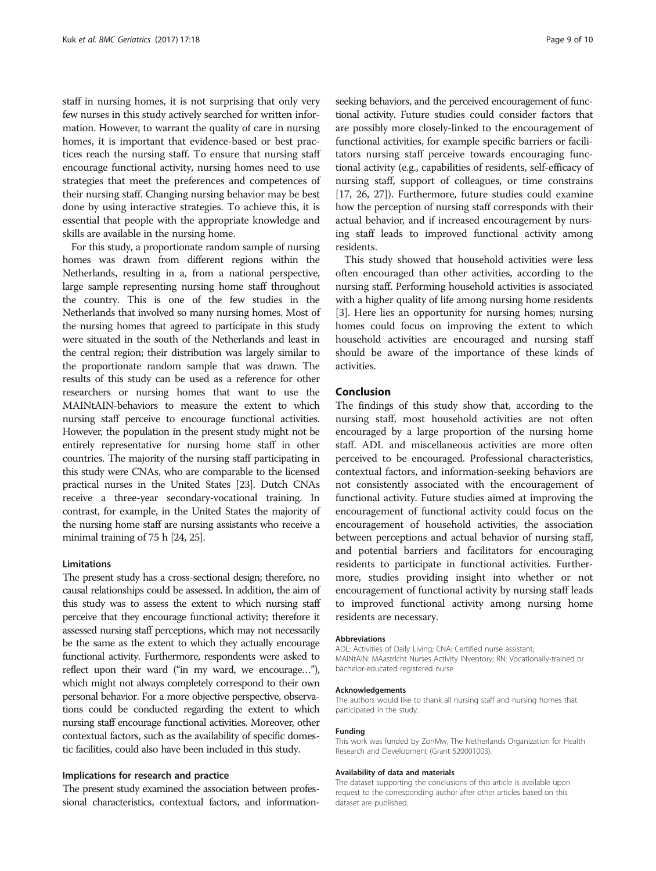staff in nursing homes, it is not surprising that only very few nurses in this study actively searched for written information. However, to warrant the quality of care in nursing homes, it is important that evidence-based or best practices reach the nursing staff. To ensure that nursing staff encourage functional activity, nursing homes need to use strategies that meet the preferences and competences of their nursing staff. Changing nursing behavior may be best done by using interactive strategies. To achieve this, it is essential that people with the appropriate knowledge and skills are available in the nursing home.

For this study, a proportionate random sample of nursing homes was drawn from different regions within the Netherlands, resulting in a, from a national perspective, large sample representing nursing home staff throughout the country. This is one of the few studies in the Netherlands that involved so many nursing homes. Most of the nursing homes that agreed to participate in this study were situated in the south of the Netherlands and least in the central region; their distribution was largely similar to the proportionate random sample that was drawn. The results of this study can be used as a reference for other researchers or nursing homes that want to use the MAINtAIN-behaviors to measure the extent to which nursing staff perceive to encourage functional activities. However, the population in the present study might not be entirely representative for nursing home staff in other countries. The majority of the nursing staff participating in this study were CNAs, who are comparable to the licensed practical nurses in the United States [\[23\]](#page-9-0). Dutch CNAs receive a three-year secondary-vocational training. In contrast, for example, in the United States the majority of the nursing home staff are nursing assistants who receive a minimal training of 75 h [\[24](#page-9-0), [25](#page-9-0)].

## Limitations

The present study has a cross-sectional design; therefore, no causal relationships could be assessed. In addition, the aim of this study was to assess the extent to which nursing staff perceive that they encourage functional activity; therefore it assessed nursing staff perceptions, which may not necessarily be the same as the extent to which they actually encourage functional activity. Furthermore, respondents were asked to reflect upon their ward ("in my ward, we encourage…"), which might not always completely correspond to their own personal behavior. For a more objective perspective, observations could be conducted regarding the extent to which nursing staff encourage functional activities. Moreover, other contextual factors, such as the availability of specific domestic facilities, could also have been included in this study.

## Implications for research and practice

The present study examined the association between professional characteristics, contextual factors, and informationseeking behaviors, and the perceived encouragement of functional activity. Future studies could consider factors that are possibly more closely-linked to the encouragement of functional activities, for example specific barriers or facilitators nursing staff perceive towards encouraging functional activity (e.g., capabilities of residents, self-efficacy of nursing staff, support of colleagues, or time constrains [[17](#page-9-0), [26](#page-9-0), [27](#page-9-0)]). Furthermore, future studies could examine how the perception of nursing staff corresponds with their actual behavior, and if increased encouragement by nursing staff leads to improved functional activity among residents.

This study showed that household activities were less often encouraged than other activities, according to the nursing staff. Performing household activities is associated with a higher quality of life among nursing home residents [[3\]](#page-9-0). Here lies an opportunity for nursing homes; nursing homes could focus on improving the extent to which household activities are encouraged and nursing staff should be aware of the importance of these kinds of activities.

## Conclusion

The findings of this study show that, according to the nursing staff, most household activities are not often encouraged by a large proportion of the nursing home staff. ADL and miscellaneous activities are more often perceived to be encouraged. Professional characteristics, contextual factors, and information-seeking behaviors are not consistently associated with the encouragement of functional activity. Future studies aimed at improving the encouragement of functional activity could focus on the encouragement of household activities, the association between perceptions and actual behavior of nursing staff, and potential barriers and facilitators for encouraging residents to participate in functional activities. Furthermore, studies providing insight into whether or not encouragement of functional activity by nursing staff leads to improved functional activity among nursing home residents are necessary.

#### Abbreviations

ADL: Activities of Daily Living; CNA: Certified nurse assistant; MAINtAIN: MAastrIcht Nurses Activity INventory; RN: Vocationally-trained or bachelor-educated registered nurse

#### Acknowledgements

The authors would like to thank all nursing staff and nursing homes that participated in the study.

#### Funding

This work was funded by ZonMw, The Netherlands Organization for Health Research and Development (Grant 520001003).

#### Availability of data and materials

The dataset supporting the conclusions of this article is available upon request to the corresponding author after other articles based on this dataset are published.